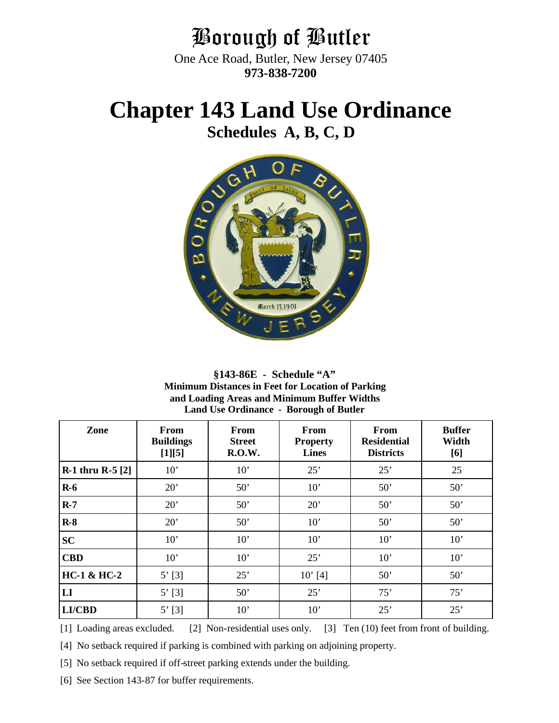## Borough of Butler

One Ace Road, Butler, New Jersey 07405 **973-838-7200**

# **Chapter 143 Land Use Ordinance**

**Schedules A, B, C, D**



**§143-86E - Schedule "A" Minimum Distances in Feet for Location of Parking and Loading Areas and Minimum Buffer Widths Land Use Ordinance - Borough of Butler**

| Zone                    | From<br><b>Buildings</b><br>[1][5] | From<br><b>Street</b><br><b>R.O.W.</b> | <b>From</b><br><b>Property</b><br><b>Lines</b> | From<br><b>Residential</b><br><b>Districts</b> | <b>Buffer</b><br>Width<br>[6] |
|-------------------------|------------------------------------|----------------------------------------|------------------------------------------------|------------------------------------------------|-------------------------------|
| <b>R-1 thru R-5 [2]</b> | 10'                                | 10'                                    | 25'                                            | 25'                                            | 25                            |
| $R-6$                   | 20'                                | 50'                                    | 10'                                            | 50'                                            | 50'                           |
| $R-7$                   | 20'                                | 50'                                    | 20'                                            | 50'                                            | 50'                           |
| $R-8$                   | 20'                                | 50'                                    | 10'                                            | 50'                                            | 50'                           |
| <b>SC</b>               | 10'                                | 10'                                    | 10'                                            | 10'                                            | 10'                           |
| <b>CBD</b>              | 10'                                | 10'                                    | 25'                                            | 10'                                            | 10'                           |
| <b>HC-1 &amp; HC-2</b>  | $5'$ [3]                           | 25'                                    | $10'$ [4]                                      | 50'                                            | 50'                           |
| LI                      | $5'$ [3]                           | 50'                                    | 25'                                            | 75'                                            | 75'                           |
| <b>LI/CBD</b>           | $5'$ [3]                           | 10'                                    | 10'                                            | 25'                                            | 25'                           |

[1] Loading areas excluded. [2] Non-residential uses only. [3] Ten (10) feet from front of building.

[4] No setback required if parking is combined with parking on adjoining property.

[5] No setback required if off-street parking extends under the building.

[6] See Section 143-87 for buffer requirements.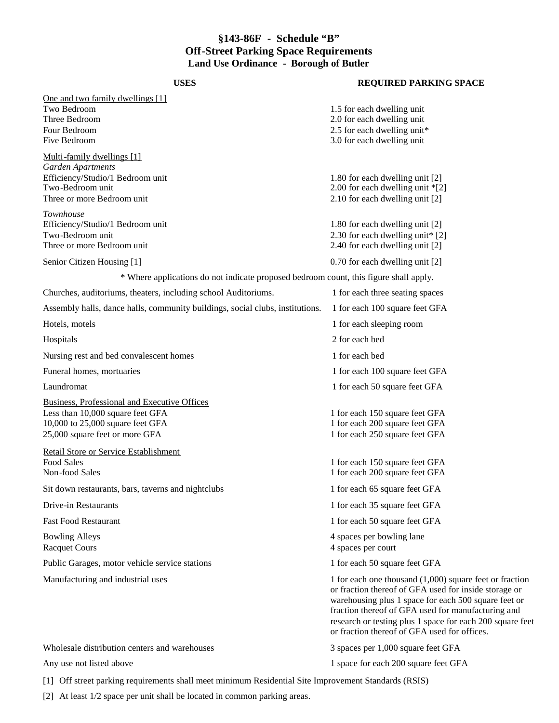### **§143-86F - Schedule "B" Off-Street Parking Space Requirements Land Use Ordinance - Borough of Butler**

| <b>USES</b>                                                                                                                                                   | <b>REQUIRED PARKING SPACE</b>                                                                                                                                                                                                                                                                                                                 |
|---------------------------------------------------------------------------------------------------------------------------------------------------------------|-----------------------------------------------------------------------------------------------------------------------------------------------------------------------------------------------------------------------------------------------------------------------------------------------------------------------------------------------|
| One and two family dwellings [1]                                                                                                                              |                                                                                                                                                                                                                                                                                                                                               |
| Two Bedroom<br>Three Bedroom<br>Four Bedroom<br>Five Bedroom                                                                                                  | 1.5 for each dwelling unit<br>2.0 for each dwelling unit<br>2.5 for each dwelling unit*<br>3.0 for each dwelling unit                                                                                                                                                                                                                         |
| Multi-family dwellings [1]<br>Garden Apartments                                                                                                               |                                                                                                                                                                                                                                                                                                                                               |
| Efficiency/Studio/1 Bedroom unit<br>Two-Bedroom unit<br>Three or more Bedroom unit                                                                            | 1.80 for each dwelling unit [2]<br>2.00 for each dwelling unit *[2]<br>2.10 for each dwelling unit [2]                                                                                                                                                                                                                                        |
| Townhouse<br>Efficiency/Studio/1 Bedroom unit<br>Two-Bedroom unit<br>Three or more Bedroom unit                                                               | 1.80 for each dwelling unit [2]<br>2.30 for each dwelling unit* [2]<br>2.40 for each dwelling unit [2]                                                                                                                                                                                                                                        |
| Senior Citizen Housing [1]                                                                                                                                    | 0.70 for each dwelling unit [2]                                                                                                                                                                                                                                                                                                               |
| * Where applications do not indicate proposed bedroom count, this figure shall apply.                                                                         |                                                                                                                                                                                                                                                                                                                                               |
| Churches, auditoriums, theaters, including school Auditoriums.                                                                                                | 1 for each three seating spaces                                                                                                                                                                                                                                                                                                               |
| Assembly halls, dance halls, community buildings, social clubs, institutions.                                                                                 | 1 for each 100 square feet GFA                                                                                                                                                                                                                                                                                                                |
| Hotels, motels                                                                                                                                                | 1 for each sleeping room                                                                                                                                                                                                                                                                                                                      |
| Hospitals                                                                                                                                                     | 2 for each bed                                                                                                                                                                                                                                                                                                                                |
| Nursing rest and bed convalescent homes                                                                                                                       | 1 for each bed                                                                                                                                                                                                                                                                                                                                |
| Funeral homes, mortuaries                                                                                                                                     | 1 for each 100 square feet GFA                                                                                                                                                                                                                                                                                                                |
| Laundromat                                                                                                                                                    | 1 for each 50 square feet GFA                                                                                                                                                                                                                                                                                                                 |
| <b>Business, Professional and Executive Offices</b><br>Less than 10,000 square feet GFA<br>10,000 to 25,000 square feet GFA<br>25,000 square feet or more GFA | 1 for each 150 square feet GFA<br>1 for each 200 square feet GFA<br>1 for each 250 square feet GFA                                                                                                                                                                                                                                            |
| Retail Store or Service Establishment<br><b>Food Sales</b><br>Non-food Sales                                                                                  | 1 for each 150 square feet GFA<br>1 for each 200 square feet GFA                                                                                                                                                                                                                                                                              |
| Sit down restaurants, bars, taverns and nightclubs                                                                                                            | 1 for each 65 square feet GFA                                                                                                                                                                                                                                                                                                                 |
| Drive-in Restaurants                                                                                                                                          | 1 for each 35 square feet GFA                                                                                                                                                                                                                                                                                                                 |
| <b>Fast Food Restaurant</b>                                                                                                                                   | 1 for each 50 square feet GFA                                                                                                                                                                                                                                                                                                                 |
| <b>Bowling Alleys</b><br><b>Racquet Cours</b>                                                                                                                 | 4 spaces per bowling lane<br>4 spaces per court                                                                                                                                                                                                                                                                                               |
| Public Garages, motor vehicle service stations                                                                                                                | 1 for each 50 square feet GFA                                                                                                                                                                                                                                                                                                                 |
| Manufacturing and industrial uses                                                                                                                             | 1 for each one thousand $(1,000)$ square feet or fraction<br>or fraction thereof of GFA used for inside storage or<br>warehousing plus 1 space for each 500 square feet or<br>fraction thereof of GFA used for manufacturing and<br>research or testing plus 1 space for each 200 square feet<br>or fraction thereof of GFA used for offices. |
| Wholesale distribution centers and warehouses                                                                                                                 | 3 spaces per 1,000 square feet GFA                                                                                                                                                                                                                                                                                                            |
| Any use not listed above                                                                                                                                      | 1 space for each 200 square feet GFA                                                                                                                                                                                                                                                                                                          |

[1] Off street parking requirements shall meet minimum Residential Site Improvement Standards (RSIS)

[2] At least 1/2 space per unit shall be located in common parking areas.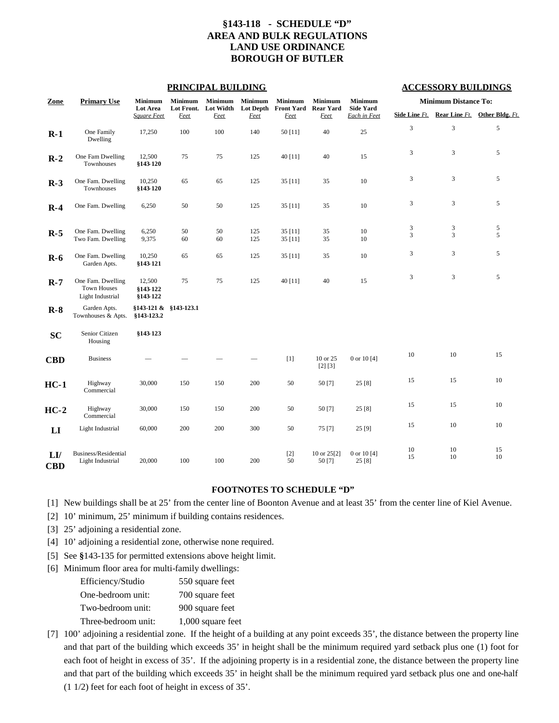#### **§143-118 - SCHEDULE "D" AREA AND BULK REGULATIONS LAND USE ORDINANCE BOROUGH OF BUTLER**

#### **PRINCIPAL BUILDING ACCESSORY BUILDINGS**

| Zone                   | <b>Primary Use</b>                                          | <b>Minimum</b>                 |                         | <b>Minimum</b>    | <b>Minimum</b>           | Minimum                   | Minimum                         | <b>Minimum</b>                   | <b>Minimum Distance To:</b>    |                     |                               |  |  |
|------------------------|-------------------------------------------------------------|--------------------------------|-------------------------|-------------------|--------------------------|---------------------------|---------------------------------|----------------------------------|--------------------------------|---------------------|-------------------------------|--|--|
|                        |                                                             | Lot Area<br><b>Square Feet</b> | Lot Front.<br>Feet      | Lot Width<br>Feet | <b>Lot Depth</b><br>Feet | <b>Front Yard</b><br>Feet | <b>Rear Yard</b><br><b>Feet</b> | <b>Side Yard</b><br>Each in Feet | Side Line Ft.                  |                     | Rear Line Ft. Other Bldg. Ft. |  |  |
| $R-1$                  | One Family<br>Dwelling                                      | 17,250                         | 100                     | 100               | 140                      | 50 [11]                   | 40                              | 25                               | $\overline{3}$                 | $\overline{3}$      | 5                             |  |  |
| $R-2$                  | One Fam Dwelling<br>Townhouses                              | 12,500<br>§143-120             | 75                      | 75                | 125                      | 40 [11]                   | 40                              | 15                               | 3                              | $\mathfrak{Z}$      | 5                             |  |  |
| $R-3$                  | One Fam. Dwelling<br>Townhouses                             | 10,250<br>§143-120             | 65                      | 65                | 125                      | 35 [11]                   | 35                              | $10\,$                           | 3                              | $\mathfrak{Z}$      | 5                             |  |  |
| $R-4$                  | One Fam. Dwelling                                           | 6,250                          | 50                      | 50                | 125                      | 35 [11]                   | 35                              | $10\,$                           | 3                              | $\mathfrak{Z}$      | 5                             |  |  |
| $R-5$                  | One Fam. Dwelling<br>Two Fam. Dwelling                      | 6,250<br>9,375                 | 50<br>60                | 50<br>60          | 125<br>125               | 35 [11]<br>35 [11]        | 35<br>35                        | $10\,$<br>10                     | $\ensuremath{\mathsf{3}}$<br>3 | $\mathfrak{Z}$<br>3 | $\sqrt{5}$<br>5               |  |  |
| $R-6$                  | One Fam. Dwelling<br>Garden Apts.                           | 10,250<br>§143 121             | 65                      | 65                | 125                      | 35 [11]                   | 35                              | $10\,$                           | 3                              | $\mathfrak{Z}$      | 5                             |  |  |
| $R-7$                  | One Fam. Dwelling<br><b>Town Houses</b><br>Light Industrial | 12,500<br>§143 122<br>§143-122 | 75                      | 75                | 125                      | 40 [11]                   | 40                              | 15                               | 3                              | 3                   | 5                             |  |  |
| $R-8$                  | Garden Apts.<br>Townhouses & Apts.                          | \$143-123.2                    | \$143-121 & \$143-123.1 |                   |                          |                           |                                 |                                  |                                |                     |                               |  |  |
| <b>SC</b>              | Senior Citizen<br>Housing                                   | §143 123                       |                         |                   |                          |                           |                                 |                                  |                                |                     |                               |  |  |
| <b>CBD</b>             | <b>Business</b>                                             |                                |                         |                   |                          | [1]                       | 10 or 25<br>[2] [3]             | 0 or 10 $[4]$                    | 10                             | 10                  | 15                            |  |  |
| $HC-1$                 | Highway<br>Commercial                                       | 30,000                         | 150                     | 150               | 200                      | 50                        | 50 [7]                          | 25 [8]                           | 15                             | 15                  | $10\,$                        |  |  |
| $HC-2$                 | Highway<br>Commercial                                       | 30,000                         | 150                     | 150               | 200                      | 50                        | 50 [7]                          | 25[8]                            | 15                             | 15                  | $10\,$                        |  |  |
| $\mathbf{L}\mathbf{I}$ | Light Industrial                                            | 60,000                         | 200                     | 200               | 300                      | 50                        | 75 [7]                          | 25 [9]                           | 15                             | 10                  | 10                            |  |  |
| LI<br><b>CBD</b>       | Business/Residential<br>Light Industrial                    | 20,000                         | 100                     | 100               | 200                      | $[2]$<br>50               | 10 or 25[2]<br>50 [7]           | 0 or 10 [4]<br>25 [8]            | 10<br>15                       | 10<br>10            | 15<br>10                      |  |  |

#### **FOOTNOTES TO SCHEDULE "D"**

[1] New buildings shall be at 25' from the center line of Boonton Avenue and at least 35' from the center line of Kiel Avenue.

[2] 10' minimum, 25' minimum if building contains residences.

[3] 25' adjoining a residential zone.

[4] 10' adjoining a residential zone, otherwise none required.

[5] See **§**143-135 for permitted extensions above height limit.

- [6] Minimum floor area for multi-family dwellings:
	- Efficiency/Studio 550 square feet One-bedroom unit: 700 square feet Two-bedroom unit: 900 square feet Three-bedroom unit: 1,000 square feet
- [7] 100' adjoining a residential zone. If the height of a building at any point exceeds 35', the distance between the property line and that part of the building which exceeds 35' in height shall be the minimum required yard setback plus one (1) foot for each foot of height in excess of 35'. If the adjoining property is in a residential zone, the distance between the property line and that part of the building which exceeds 35' in height shall be the minimum required yard setback plus one and one-half (1 1/2) feet for each foot of height in excess of 35'.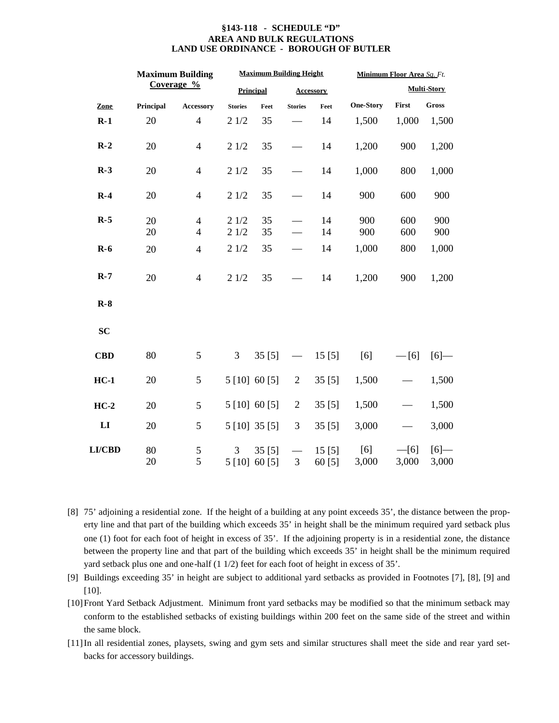#### **§143-118 - SCHEDULE "D" AREA AND BULK REGULATIONS LAND USE ORDINANCE - BOROUGH OF BUTLER**

|               |           | <b>Maximum Building</b>          |                | <b>Maximum Building Height</b> |                | Minimum Floor Area Sq. Ft. |                  |                 |                    |  |  |
|---------------|-----------|----------------------------------|----------------|--------------------------------|----------------|----------------------------|------------------|-----------------|--------------------|--|--|
|               |           | Coverage %                       |                | <b>Principal</b>               |                | <b>Accessory</b>           |                  |                 | <b>Multi-Story</b> |  |  |
| Zone          | Principal | <b>Accessory</b>                 | <b>Stories</b> | Feet                           | <b>Stories</b> | Feet                       | <b>One-Story</b> | First           | <b>Gross</b>       |  |  |
| $R-1$         | 20        | $\overline{4}$                   | 21/2           | 35                             |                | 14                         | 1,500            | 1,000           | 1,500              |  |  |
| $R-2$         | 20        | $\overline{4}$                   | 21/2           | 35                             |                | 14                         | 1,200            | 900             | 1,200              |  |  |
| $R-3$         | 20        | $\overline{4}$                   | 21/2           | 35                             |                | 14                         | 1,000            | 800             | 1,000              |  |  |
| $R-4$         | 20        | $\overline{4}$                   | 21/2           | 35                             |                | 14                         | 900              | 600             | 900                |  |  |
| $R-5$         | 20<br>20  | $\overline{4}$<br>$\overline{4}$ | 21/2<br>21/2   | 35<br>35                       |                | 14<br>14                   | 900<br>900       | 600<br>600      | 900<br>900         |  |  |
| $R-6$         | 20        | $\overline{4}$                   | 21/2           | 35                             |                | 14                         | 1,000            | 800             | 1,000              |  |  |
| $R-7$         | 20        | $\overline{4}$                   | 21/2           | 35                             |                | 14                         | 1,200            | 900             | 1,200              |  |  |
| $R-8$         |           |                                  |                |                                |                |                            |                  |                 |                    |  |  |
| <b>SC</b>     |           |                                  |                |                                |                |                            |                  |                 |                    |  |  |
| <b>CBD</b>    | 80        | 5                                | 3              | 35[5]                          |                | 15[5]                      | [6]              | $-[6]$          | [6]                |  |  |
| $HC-1$        | 20        | 5                                | 5 [10] 60 [5]  |                                | $\overline{2}$ | 35[5]                      | 1,500            |                 | 1,500              |  |  |
| $HC-2$        | 20        | 5                                | 5 [10] 60 [5]  |                                | $\overline{c}$ | 35[5]                      | 1,500            |                 | 1,500              |  |  |
| LI            | 20        | 5                                | 5 [10] 35 [5]  |                                | 3              | 35[5]                      | 3,000            |                 | 3,000              |  |  |
| <b>LI/CBD</b> | 80<br>20  | $\sqrt{5}$<br>5                  | 3<br>5 [10]    | 35[5]<br>60[5]                 | 3              | 15[5]<br>60 [5]            | [6]<br>3,000     | $-[6]$<br>3,000 | [6]<br>3,000       |  |  |

- [8] 75' adjoining a residential zone. If the height of a building at any point exceeds 35', the distance between the property line and that part of the building which exceeds 35' in height shall be the minimum required yard setback plus one (1) foot for each foot of height in excess of 35'. If the adjoining property is in a residential zone, the distance between the property line and that part of the building which exceeds 35' in height shall be the minimum required yard setback plus one and one-half (1 1/2) feet for each foot of height in excess of 35'.
- [9] Buildings exceeding 35' in height are subject to additional yard setbacks as provided in Footnotes [7], [8], [9] and [10].
- [10]Front Yard Setback Adjustment. Minimum front yard setbacks may be modified so that the minimum setback may conform to the established setbacks of existing buildings within 200 feet on the same side of the street and within the same block.
- [11]In all residential zones, playsets, swing and gym sets and similar structures shall meet the side and rear yard setbacks for accessory buildings.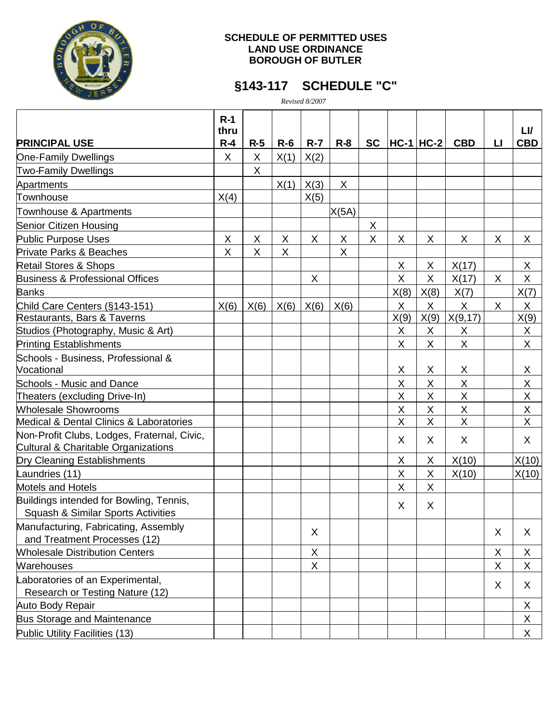

#### **SCHEDULE OF PERMITTED USES LAND USE ORDINANCE BOROUGH OF BUTLER**

### **§143-117 SCHEDULE "C"**

*Revised 8/2007*

|                                                                                          | $R-1$<br>thru |         |       |             |         |           |                |               |                |    | LI/        |
|------------------------------------------------------------------------------------------|---------------|---------|-------|-------------|---------|-----------|----------------|---------------|----------------|----|------------|
| <b>PRINCIPAL USE</b>                                                                     | $R-4$         | $R-5$   | $R-6$ | $R - 7$     | $R - 8$ | <b>SC</b> |                | $ HC-1 HC-2 $ | <b>CBD</b>     | LI | <b>CBD</b> |
| <b>One-Family Dwellings</b>                                                              | X             | X       | X(1)  | X(2)        |         |           |                |               |                |    |            |
| <b>Two-Family Dwellings</b>                                                              |               | X       |       |             |         |           |                |               |                |    |            |
| Apartments                                                                               |               |         | X(1)  | X(3)        | X       |           |                |               |                |    |            |
| Townhouse                                                                                | X(4)          |         |       | X(5)        |         |           |                |               |                |    |            |
| Townhouse & Apartments                                                                   |               |         |       |             | X(5A)   |           |                |               |                |    |            |
| Senior Citizen Housing                                                                   |               |         |       |             |         | X         |                |               |                |    |            |
| <b>Public Purpose Uses</b>                                                               | Χ             | X       | X     | X           | X       | X         | X              | X             | X              | X  | X.         |
| <b>Private Parks &amp; Beaches</b>                                                       | X             | $\sf X$ | X     |             | X       |           |                |               |                |    |            |
| <b>Retail Stores &amp; Shops</b>                                                         |               |         |       |             |         |           | X              | X             | X(17)          |    | X          |
| <b>Business &amp; Professional Offices</b>                                               |               |         |       | X           |         |           | X              | X             | X(17)          | X  | X          |
| <b>Banks</b>                                                                             |               |         |       |             |         |           | X(8)           | X(8)          | X(7)           |    | X(7)       |
| Child Care Centers (§143-151)                                                            | X(6)          | X(6)    | X(6)  | X(6)        | X(6)    |           | X              | X             | X              | X  | X.         |
| Restaurants, Bars & Taverns                                                              |               |         |       |             |         |           | X(9)           | X(9)          | X(9, 17)       |    | X(9)       |
| Studios (Photography, Music & Art)                                                       |               |         |       |             |         |           | X              | X             | X              |    | X          |
| <b>Printing Establishments</b>                                                           |               |         |       |             |         |           | X              | X             | X              |    | X          |
| Schools - Business, Professional &                                                       |               |         |       |             |         |           |                |               |                |    |            |
| Vocational                                                                               |               |         |       |             |         |           | X              | X             | X              |    | X          |
| <b>Schools - Music and Dance</b>                                                         |               |         |       |             |         |           | $\mathsf{X}$   | X             | X              |    | X          |
| Theaters (excluding Drive-In)                                                            |               |         |       |             |         |           | X              | X             | X              |    | X          |
| <b>Wholesale Showrooms</b>                                                               |               |         |       |             |         |           | X              | Χ             | X              |    | X          |
| Medical & Dental Clinics & Laboratories                                                  |               |         |       |             |         |           | $\overline{X}$ | X             | $\overline{X}$ |    | X          |
| Non-Profit Clubs, Lodges, Fraternal, Civic,<br>Cultural & Charitable Organizations       |               |         |       |             |         |           | X              | X.            | X              |    | X          |
| Dry Cleaning Establishments                                                              |               |         |       |             |         |           | X              | X             | X(10)          |    | X(10)      |
| Laundries (11)                                                                           |               |         |       |             |         |           | X              | Χ             | X(10)          |    | X(10)      |
| <b>Motels and Hotels</b>                                                                 |               |         |       |             |         |           | X              | X.            |                |    |            |
| Buildings intended for Bowling, Tennis,<br><b>Squash &amp; Similar Sports Activities</b> |               |         |       |             |         |           | X              | X             |                |    |            |
| Manufacturing, Fabricating, Assembly                                                     |               |         |       |             |         |           |                |               |                |    |            |
| and Treatment Processes (12)                                                             |               |         |       | X           |         |           |                |               |                | X  | X          |
| <b>Mholesale Distribution Centers</b>                                                    |               |         |       | X           |         |           |                |               |                | X  | X          |
| <b>Warehouses</b>                                                                        |               |         |       | $\mathsf X$ |         |           |                |               |                | X  | X          |
| Laboratories of an Experimental,                                                         |               |         |       |             |         |           |                |               |                |    |            |
| Research or Testing Nature (12)                                                          |               |         |       |             |         |           |                |               |                | X  | X.         |
| Auto Body Repair                                                                         |               |         |       |             |         |           |                |               |                |    | X          |
| <b>Bus Storage and Maintenance</b>                                                       |               |         |       |             |         |           |                |               |                |    | X          |
| <b>Public Utility Facilities (13)</b>                                                    |               |         |       |             |         |           |                |               |                |    | X          |